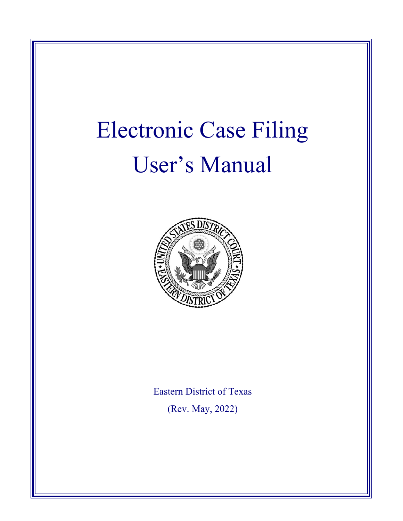# Electronic Case Filing User's Manual



Eastern District of Texas (Rev. May, 2022)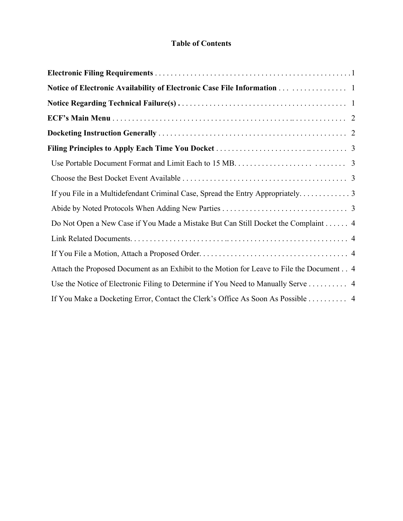## **Table of Contents**

| Notice of Electronic Availability of Electronic Case File Information   1                 |  |
|-------------------------------------------------------------------------------------------|--|
|                                                                                           |  |
|                                                                                           |  |
|                                                                                           |  |
|                                                                                           |  |
|                                                                                           |  |
|                                                                                           |  |
| If you File in a Multidefendant Criminal Case, Spread the Entry Appropriately 3           |  |
|                                                                                           |  |
| Do Not Open a New Case if You Made a Mistake But Can Still Docket the Complaint 4         |  |
|                                                                                           |  |
|                                                                                           |  |
| Attach the Proposed Document as an Exhibit to the Motion for Leave to File the Document 4 |  |
| Use the Notice of Electronic Filing to Determine if You Need to Manually Serve  4         |  |
| If You Make a Docketing Error, Contact the Clerk's Office As Soon As Possible 4           |  |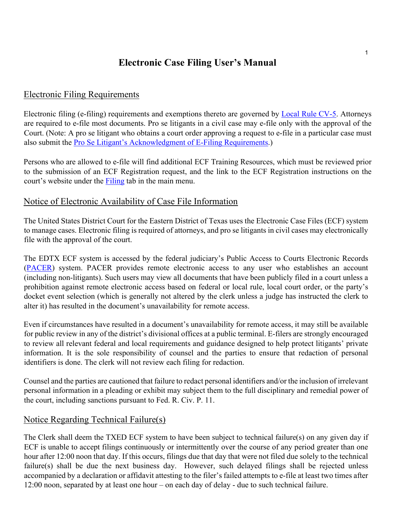# **Electronic Case Filing User's Manual**

## Electronic Filing Requirements

Electronic filing (e-filing) requirements and exemptions thereto are governed by [Local Rule CV-5.](http://www.txed.uscourts.gov/?q=civil-rules) Attorneys are required to e-file most documents. Pro se litigants in a civil case may e-file only with the approval of the Court. (Note: A pro se litigant who obtains a court order approving a request to e-file in a particular case must also submit the [Pro Se Litigant's Acknowledgment of E-Filing Requirements.](file://txed.circ5.dcn/dept/Operations/NextGen/Attorney%20Pro-se%20Instructions/Pro%20Se%20Litigant%20Acknowledgment%20of%20E-Filing%20Requirements.pdf))

Persons who are allowed to e-file will find additional ECF Training Resources, which must be reviewed prior to the submission of an ECF Registration request, and the link to the ECF Registration instructions on the court's website under the **Filing** tab in the main menu.

## Notice of Electronic Availability of Case File Information

The United States District Court for the Eastern District of Texas uses the Electronic Case Files (ECF) system to manage cases. Electronic filing is required of attorneys, and pro se litigants in civil cases may electronically file with the approval of the court.

The EDTX ECF system is accessed by the federal judiciary's Public Access to Courts Electronic Records [\(PACER\)](http://www.pacer.gov/) system. PACER provides remote electronic access to any user who establishes an account (including non-litigants). Such users may view all documents that have been publicly filed in a court unless a prohibition against remote electronic access based on federal or local rule, local court order, or the party's docket event selection (which is generally not altered by the clerk unless a judge has instructed the clerk to alter it) has resulted in the document's unavailability for remote access.

Even if circumstances have resulted in a document's unavailability for remote access, it may still be available for public review in any of the district's divisional offices at a public terminal. E-filers are strongly encouraged to review all relevant federal and local requirements and guidance designed to help protect litigants' private information. It is the sole responsibility of counsel and the parties to ensure that redaction of personal identifiers is done. The clerk will not review each filing for redaction.

Counsel and the parties are cautioned that failure to redact personal identifiers and/or the inclusion of irrelevant personal information in a pleading or exhibit may subject them to the full disciplinary and remedial power of the court, including sanctions pursuant to Fed. R. Civ. P. 11.

# Notice Regarding Technical Failure(s)

The Clerk shall deem the TXED ECF system to have been subject to technical failure(s) on any given day if ECF is unable to accept filings continuously or intermittently over the course of any period greater than one hour after 12:00 noon that day. If this occurs, filings due that day that were not filed due solely to the technical failure(s) shall be due the next business day. However, such delayed filings shall be rejected unless accompanied by a declaration or affidavit attesting to the filer's failed attempts to e-file at least two times after 12:00 noon, separated by at least one hour – on each day of delay - due to such technical failure.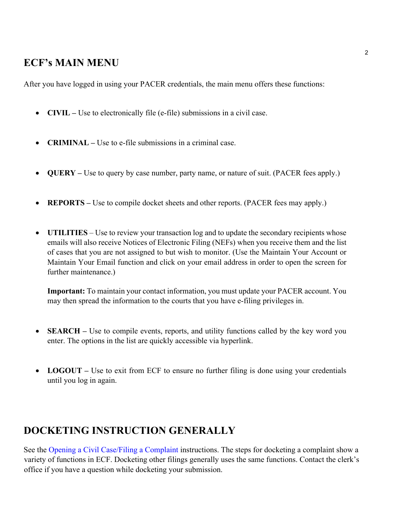# **ECF's MAIN MENU**

After you have logged in using your PACER credentials, the main menu offers these functions:

- **CIVIL –** Use to electronically file (e-file) submissions in a civil case.
- **CRIMINAL –** Use to e-file submissions in a criminal case.
- **QUERY** Use to query by case number, party name, or nature of suit. (PACER fees apply.)
- **REPORTS** Use to compile docket sheets and other reports. (PACER fees may apply.)
- **UTILITIES** Use to review your transaction log and to update the secondary recipients whose emails will also receive Notices of Electronic Filing (NEFs) when you receive them and the list of cases that you are not assigned to but wish to monitor. (Use the Maintain Your Account or Maintain Your Email function and click on your email address in order to open the screen for further maintenance.)

**Important:** To maintain your contact information, you must update your PACER account. You may then spread the information to the courts that you have e-filing privileges in.

- **SEARCH** Use to compile events, reports, and utility functions called by the key word you enter. The options in the list are quickly accessible via hyperlink.
- **LOGOUT** Use to exit from ECF to ensure no further filing is done using your credentials until you log in again.

# **DOCKETING INSTRUCTION GENERALLY**

See the [Opening a Civil Case/Filing a Complaint](http://www.txed.uscourts.gov/sites/default/files/documents/Opening-Civil-Case-Filing-Complaint.pdf) instructions. The steps for docketing a complaint show a variety of functions in ECF. Docketing other filings generally uses the same functions. Contact the clerk's office if you have a question while docketing your submission.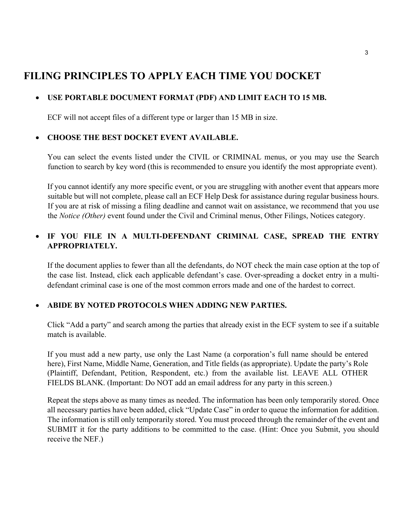# **FILING PRINCIPLES TO APPLY EACH TIME YOU DOCKET**

# • **USE PORTABLE DOCUMENT FORMAT (PDF) AND LIMIT EACH TO 15 MB.**

ECF will not accept files of a different type or larger than 15 MB in size.

#### • **CHOOSE THE BEST DOCKET EVENT AVAILABLE.**

You can select the events listed under the CIVIL or CRIMINAL menus, or you may use the Search function to search by key word (this is recommended to ensure you identify the most appropriate event).

If you cannot identify any more specific event, or you are struggling with another event that appears more suitable but will not complete, please call an ECF Help Desk for assistance during regular business hours. If you are at risk of missing a filing deadline and cannot wait on assistance, we recommend that you use the *Notice (Other)* event found under the Civil and Criminal menus, Other Filings, Notices category.

# • **IF YOU FILE IN A MULTI-DEFENDANT CRIMINAL CASE, SPREAD THE ENTRY APPROPRIATELY.**

If the document applies to fewer than all the defendants, do NOT check the main case option at the top of the case list. Instead, click each applicable defendant's case. Over-spreading a docket entry in a multidefendant criminal case is one of the most common errors made and one of the hardest to correct.

#### • **ABIDE BY NOTED PROTOCOLS WHEN ADDING NEW PARTIES.**

Click "Add a party" and search among the parties that already exist in the ECF system to see if a suitable match is available.

If you must add a new party, use only the Last Name (a corporation's full name should be entered here), First Name, Middle Name, Generation, and Title fields (as appropriate). Update the party's Role (Plaintiff, Defendant, Petition, Respondent, etc.) from the available list. LEAVE ALL OTHER FIELDS BLANK. (Important: Do NOT add an email address for any party in this screen.)

Repeat the steps above as many times as needed. The information has been only temporarily stored. Once all necessary parties have been added, click "Update Case" in order to queue the information for addition. The information is still only temporarily stored. You must proceed through the remainder of the event and SUBMIT it for the party additions to be committed to the case. (Hint: Once you Submit, you should receive the NEF.)